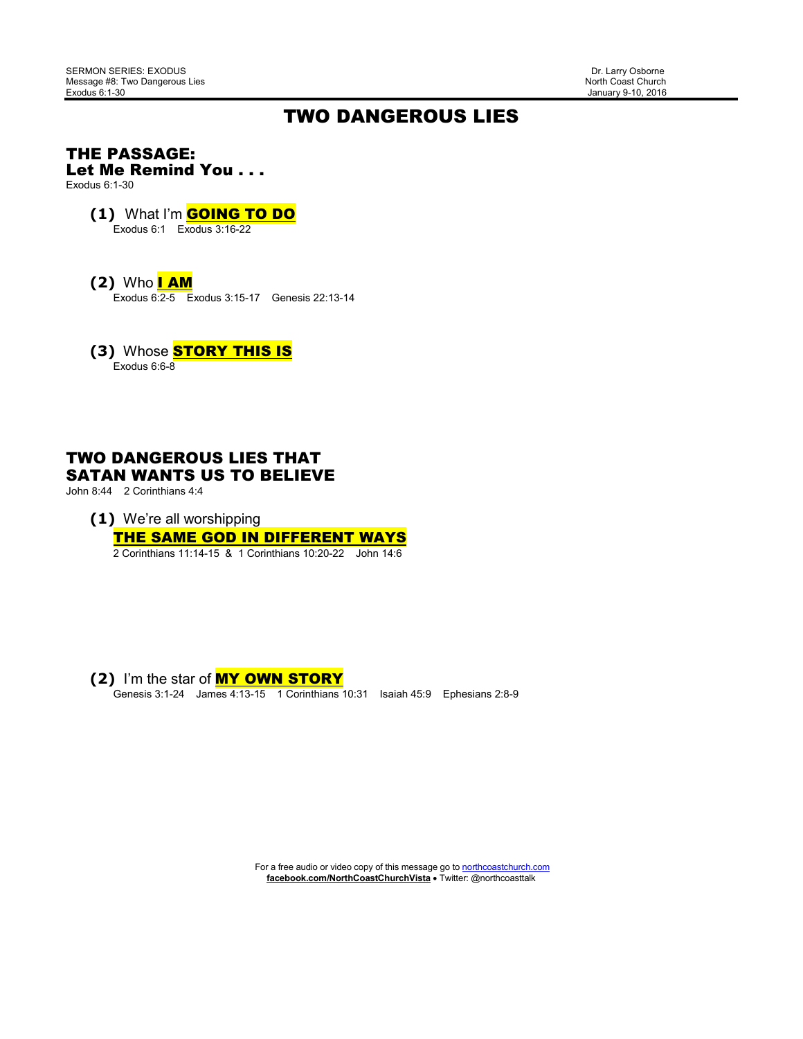January 9-10, 2016

## TWO DANGEROUS LIES

#### THE PASSAGE: Let Me Remind You . . .

Exodus 6:1-30

### **(1)** What I'm GOING TO DO

Exodus 6:1 Exodus 3:16-22

**(2)** Who I AM

Exodus 6:2-5 Exodus 3:15-17 Genesis 22:13-14

**(3) Whose STORY THIS IS** Exodus 6:6-8

### TWO DANGEROUS LIES THAT SATAN WANTS US TO BELIEVE

John 8:44 2 Corinthians 4:4

**(1)** We're all worshipping

# THE SAME GOD IN DIFFERENT WAYS

2 Corinthians 11:14-15 & 1 Corinthians 10:20-22 John 14:6

 **(2)** I'm the star of MY OWN STORY Genesis 3:1-24 James 4:13-15 1 Corinthians 10:31 Isaiah 45:9 Ephesians 2:8-9

> For a free audio or video copy of this message go to **northcoastchurch.com facebook.com/NorthCoastChurchVista** • Twitter: @northcoasttalk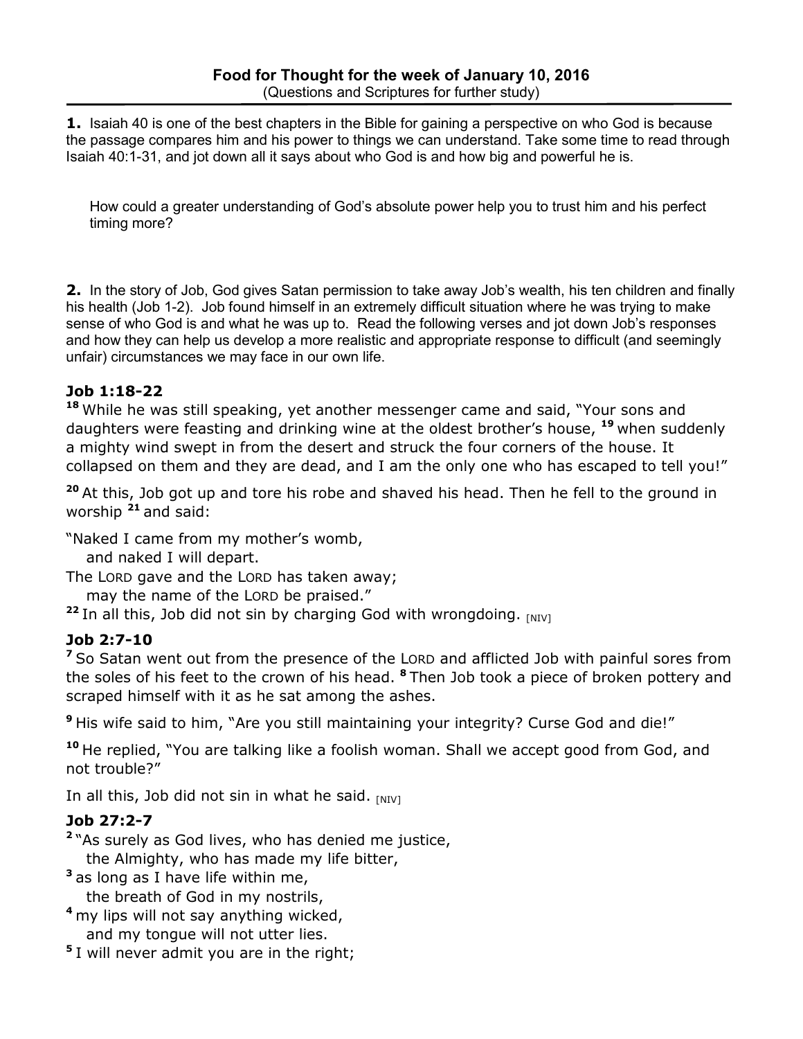**1.** Isaiah 40 is one of the best chapters in the Bible for gaining a perspective on who God is because the passage compares him and his power to things we can understand. Take some time to read through Isaiah 40:1-31, and jot down all it says about who God is and how big and powerful he is.

How could a greater understanding of God's absolute power help you to trust him and his perfect timing more?

**2.** In the story of Job, God gives Satan permission to take away Job's wealth, his ten children and finally his health (Job 1-2). Job found himself in an extremely difficult situation where he was trying to make sense of who God is and what he was up to. Read the following verses and jot down Job's responses and how they can help us develop a more realistic and appropriate response to difficult (and seemingly unfair) circumstances we may face in our own life.

## **Job 1:18-22**

**<sup>18</sup>**While he was still speaking, yet another messenger came and said, "Your sons and daughters were feasting and drinking wine at the oldest brother's house, **<sup>19</sup>**when suddenly a mighty wind swept in from the desert and struck the four corners of the house. It collapsed on them and they are dead, and I am the only one who has escaped to tell you!"

**<sup>20</sup>**At this, Job got up and tore his robe and shaved his head. Then he fell to the ground in worship **<sup>21</sup>**and said:

"Naked I came from my mother's womb,

and naked I will depart.

The LORD gave and the LORD has taken away;

may the name of the LORD be praised."

<sup>22</sup> In all this, Job did not sin by charging God with wrongdoing. [NIV]

## **Job 2:7-10**

**<sup>7</sup>**So Satan went out from the presence of the LORD and afflicted Job with painful sores from the soles of his feet to the crown of his head. **<sup>8</sup>**Then Job took a piece of broken pottery and scraped himself with it as he sat among the ashes.

**<sup>9</sup>**His wife said to him, "Are you still maintaining your integrity? Curse God and die!"

**<sup>10</sup>**He replied, "You are talking like a foolish woman. Shall we accept good from God, and not trouble?"

In all this, Job did not sin in what he said. [NIV]

## **Job 27:2-7**

**<sup>2</sup>**"As surely as God lives, who has denied me justice, the Almighty, who has made my life bitter,

**<sup>3</sup>**as long as I have life within me,

the breath of God in my nostrils,

- **<sup>4</sup>**my lips will not say anything wicked, and my tongue will not utter lies.
- **<sup>5</sup>**I will never admit you are in the right;